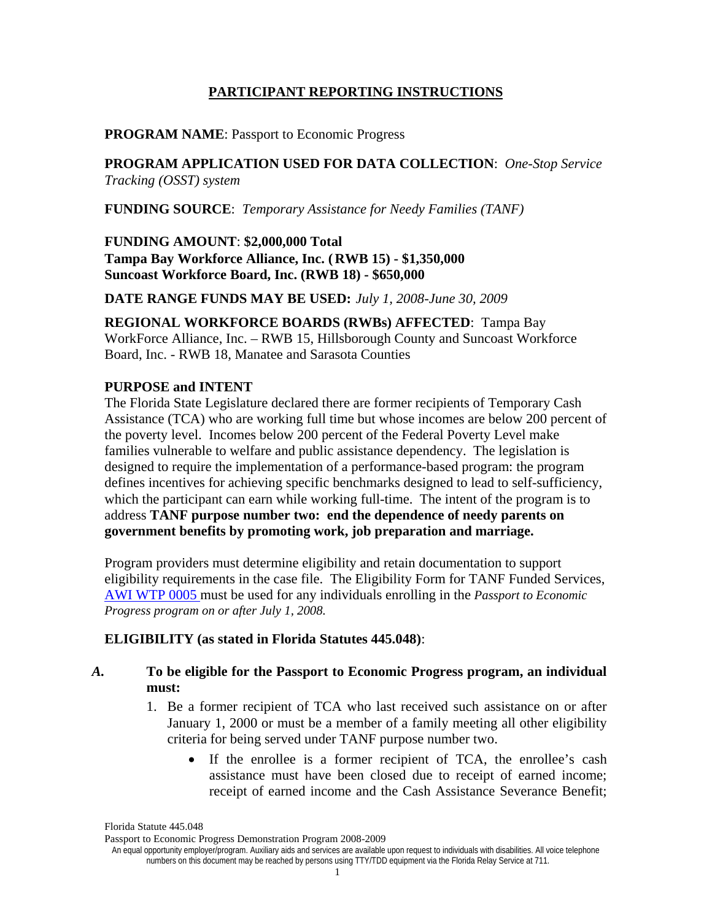# **PARTICIPANT REPORTING INSTRUCTIONS**

**PROGRAM NAME**: Passport to Economic Progress

**PROGRAM APPLICATION USED FOR DATA COLLECTION**: *One-Stop Service Tracking (OSST) system* 

**FUNDING SOURCE**: *Temporary Assistance for Needy Families (TANF)*

**FUNDING AMOUNT**: **\$2,000,000 Total Tampa Bay Workforce Alliance, Inc. (RWB 15) - \$1,350,000 Suncoast Workforce Board, Inc. (RWB 18) - \$650,000** 

**DATE RANGE FUNDS MAY BE USED:** *July 1, 2008-June 30, 2009* 

**REGIONAL WORKFORCE BOARDS (RWBs) AFFECTED**:Tampa Bay WorkForce Alliance, Inc. – RWB 15, Hillsborough County and Suncoast Workforce Board, Inc. - RWB 18, Manatee and Sarasota Counties

# **PURPOSE and INTENT**

The Florida State Legislature declared there are former recipients of Temporary Cash Assistance (TCA) who are working full time but whose incomes are below 200 percent of the poverty level. Incomes below 200 percent of the Federal Poverty Level make families vulnerable to welfare and public assistance dependency. The legislation is designed to require the implementation of a performance-based program: the program defines incentives for achieving specific benchmarks designed to lead to self-sufficiency, which the participant can earn while working full-time. The intent of the program is to address **TANF purpose number two: end the dependence of needy parents on government benefits by promoting work, job preparation and marriage.** 

Program providers must determine eligibility and retain documentation to support eligibility requirements in the case file. The Eligibility Form for TANF Funded Services, [AWI WTP 0005](http://www.floridajobs.org/PDG/wt/Forms/doc/TANF_EligFormNew010207_010607.doc) must be used for any individuals enrolling in the *Passport to Economic Progress program on or after July 1, 2008.*

# **ELIGIBILITY (as stated in Florida Statutes 445.048)**:

# *A.* **To be eligible for the Passport to Economic Progress program, an individual must:**

- 1. Be a former recipient of TCA who last received such assistance on or after January 1, 2000 or must be a member of a family meeting all other eligibility criteria for being served under TANF purpose number two.
	- If the enrollee is a former recipient of TCA, the enrollee's cash assistance must have been closed due to receipt of earned income; receipt of earned income and the Cash Assistance Severance Benefit;

Florida Statute 445.048

An equal opportunity employer/program. Auxiliary aids and services are available upon request to individuals with disabilities. All voice telephone numbers on this document may be reached by persons using TTY/TDD equipment via the Florida Relay Service at 711.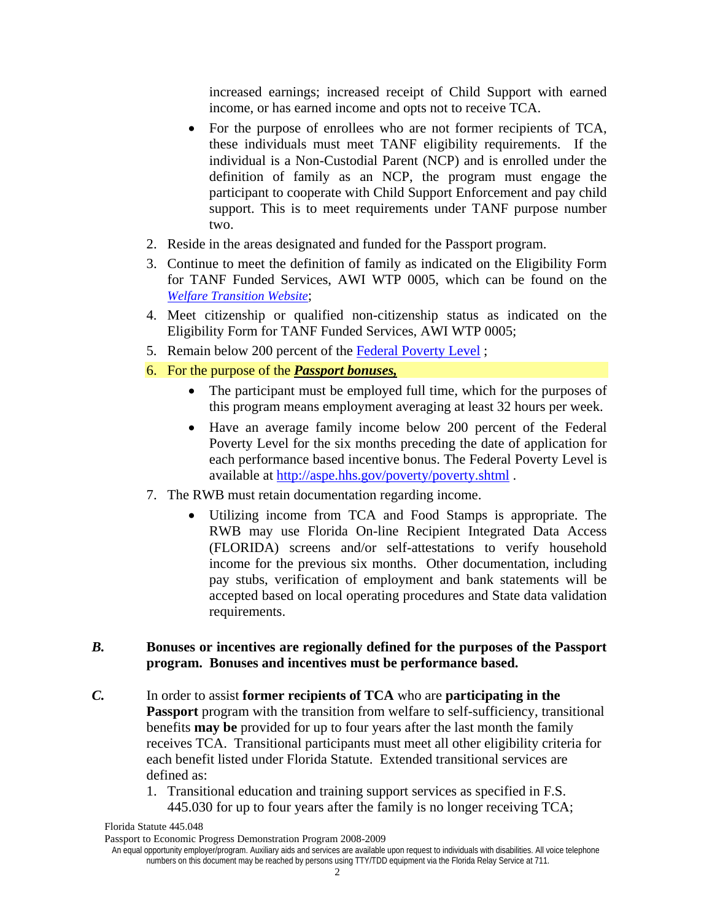increased earnings; increased receipt of Child Support with earned income, or has earned income and opts not to receive TCA.

- For the purpose of enrollees who are not former recipients of TCA, these individuals must meet TANF eligibility requirements. If the individual is a Non-Custodial Parent (NCP) and is enrolled under the definition of family as an NCP, the program must engage the participant to cooperate with Child Support Enforcement and pay child support. This is to meet requirements under TANF purpose number two.
- 2. Reside in the areas designated and funded for the Passport program.
- 3. Continue to meet the definition of family as indicated on the Eligibility Form for TANF Funded Services, AWI WTP 0005, which can be found on the *[Welfare Transition Website](http://www.floridajobs.org/workforce/WT_FormsRpts.html)*;
- 4. Meet citizenship or qualified non-citizenship status as indicated on the Eligibility Form for TANF Funded Services, AWI WTP 0005;
- 5. Remain below 200 percent of the [Federal Poverty Level](http://aspe.hhs.gov/poverty/poverty.shtml);
- 6. For the purpose of the *Passport bonuses,*
	- The participant must be employed full time, which for the purposes of this program means employment averaging at least 32 hours per week.
	- Have an average family income below 200 percent of the Federal Poverty Level for the six months preceding the date of application for each performance based incentive bonus. The Federal Poverty Level is available at<http://aspe.hhs.gov/poverty/poverty.shtml> .
- 7. The RWB must retain documentation regarding income.
	- Utilizing income from TCA and Food Stamps is appropriate. The RWB may use Florida On-line Recipient Integrated Data Access (FLORIDA) screens and/or self-attestations to verify household income for the previous six months. Other documentation, including pay stubs, verification of employment and bank statements will be accepted based on local operating procedures and State data validation requirements.

# *B.* **Bonuses or incentives are regionally defined for the purposes of the Passport program. Bonuses and incentives must be performance based.**

- *C.* In order to assist **former recipients of TCA** who are **participating in the Passport** program with the transition from welfare to self-sufficiency, transitional benefits **may be** provided for up to four years after the last month the family receives TCA. Transitional participants must meet all other eligibility criteria for each benefit listed under Florida Statute. Extended transitional services are defined as:
	- 1. Transitional education and training support services as specified in F.S. 445.030 for up to four years after the family is no longer receiving TCA;

Florida Statute 445.048

Passport to Economic Progress Demonstration Program 2008-2009

An equal opportunity employer/program. Auxiliary aids and services are available upon request to individuals with disabilities. All voice telephone numbers on this document may be reached by persons using TTY/TDD equipment via the Florida Relay Service at 711.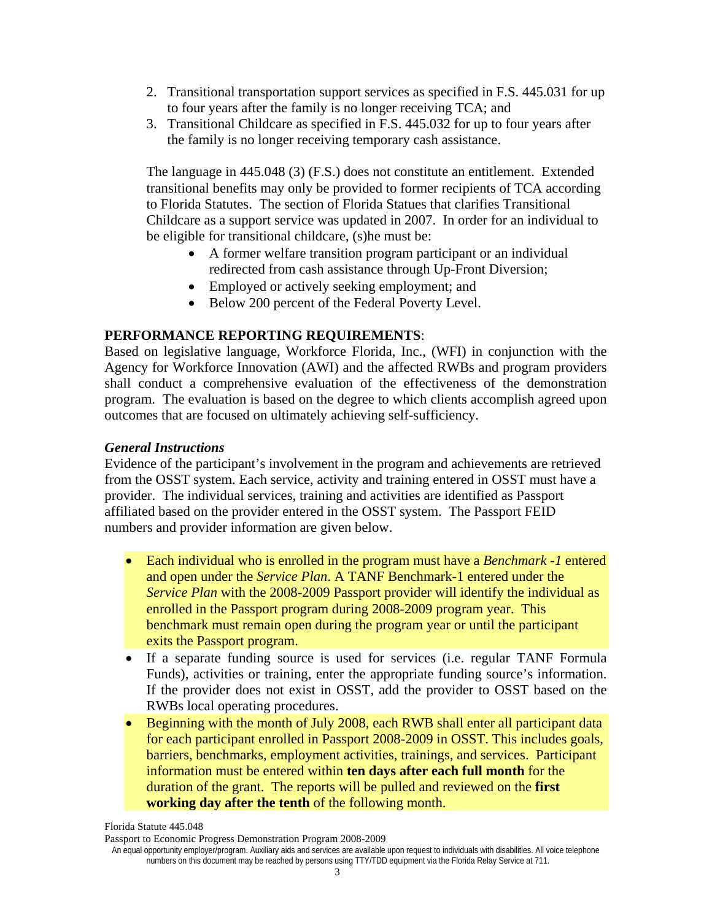- 2. Transitional transportation support services as specified in F.S. 445.031 for up to four years after the family is no longer receiving TCA; and
- 3. Transitional Childcare as specified in F.S. 445.032 for up to four years after the family is no longer receiving temporary cash assistance.

The language in 445.048 (3) (F.S.) does not constitute an entitlement. Extended transitional benefits may only be provided to former recipients of TCA according to Florida Statutes. The section of Florida Statues that clarifies Transitional Childcare as a support service was updated in 2007. In order for an individual to be eligible for transitional childcare, (s)he must be:

- A former welfare transition program participant or an individual redirected from cash assistance through Up-Front Diversion;
- Employed or actively seeking employment; and
- Below 200 percent of the Federal Poverty Level.

## **PERFORMANCE REPORTING REQUIREMENTS**:

Based on legislative language, Workforce Florida, Inc., (WFI) in conjunction with the Agency for Workforce Innovation (AWI) and the affected RWBs and program providers shall conduct a comprehensive evaluation of the effectiveness of the demonstration program. The evaluation is based on the degree to which clients accomplish agreed upon outcomes that are focused on ultimately achieving self-sufficiency.

## *General Instructions*

Evidence of the participant's involvement in the program and achievements are retrieved from the OSST system. Each service, activity and training entered in OSST must have a provider. The individual services, training and activities are identified as Passport affiliated based on the provider entered in the OSST system. The Passport FEID numbers and provider information are given below.

- Each individual who is enrolled in the program must have a *Benchmark -1* entered and open under the *Service Plan*. A TANF Benchmark-1 entered under the *Service Plan* with the 2008-2009 Passport provider will identify the individual as enrolled in the Passport program during 2008-2009 program year. This benchmark must remain open during the program year or until the participant exits the Passport program.
- If a separate funding source is used for services (i.e. regular TANF Formula Funds), activities or training, enter the appropriate funding source's information. If the provider does not exist in OSST, add the provider to OSST based on the RWBs local operating procedures.
- Beginning with the month of July 2008, each RWB shall enter all participant data for each participant enrolled in Passport 2008-2009 in OSST. This includes goals, barriers, benchmarks, employment activities, trainings, and services. Participant information must be entered within **ten days after each full month** for the duration of the grant. The reports will be pulled and reviewed on the **first working day after the tenth** of the following month.

Florida Statute 445.048

Passport to Economic Progress Demonstration Program 2008-2009

An equal opportunity employer/program. Auxiliary aids and services are available upon request to individuals with disabilities. All voice telephone numbers on this document may be reached by persons using TTY/TDD equipment via the Florida Relay Service at 711.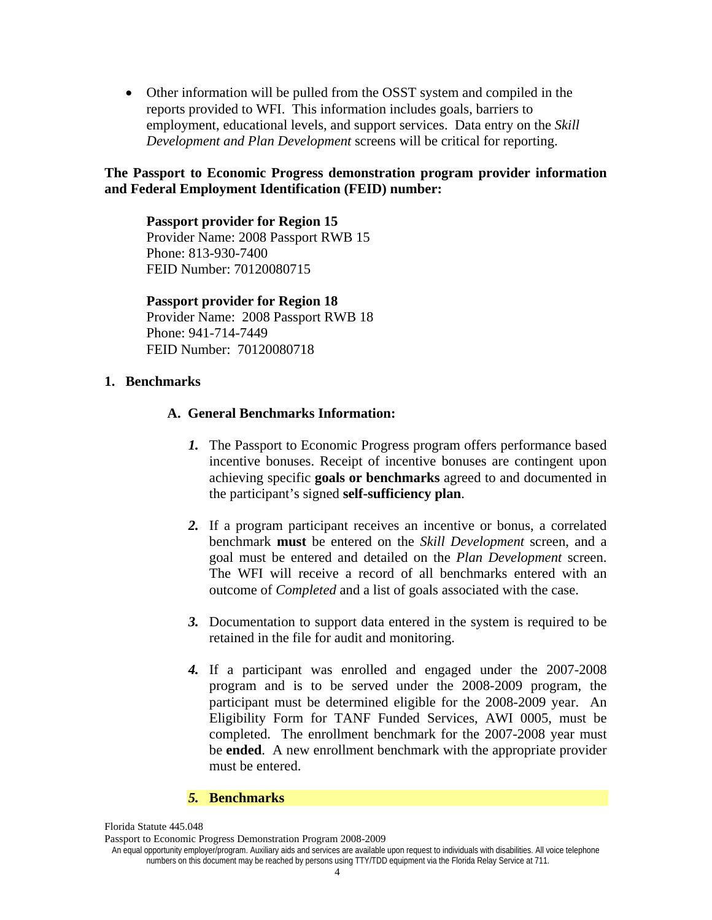• Other information will be pulled from the OSST system and compiled in the reports provided to WFI. This information includes goals, barriers to employment, educational levels, and support services. Data entry on the *Skill Development and Plan Development* screens will be critical for reporting.

## **The Passport to Economic Progress demonstration program provider information and Federal Employment Identification (FEID) number:**

#### **Passport provider for Region 15**

Provider Name: 2008 Passport RWB 15 Phone: 813-930-7400 FEID Number: 70120080715

#### **Passport provider for Region 18**

Provider Name: 2008 Passport RWB 18 Phone: 941-714-7449 FEID Number: 70120080718

## **1. Benchmarks**

## **A. General Benchmarks Information:**

- *1.* The Passport to Economic Progress program offers performance based incentive bonuses. Receipt of incentive bonuses are contingent upon achieving specific **goals or benchmarks** agreed to and documented in the participant's signed **self-sufficiency plan**.
- *2.* If a program participant receives an incentive or bonus, a correlated benchmark **must** be entered on the *Skill Development* screen, and a goal must be entered and detailed on the *Plan Development* screen. The WFI will receive a record of all benchmarks entered with an outcome of *Completed* and a list of goals associated with the case.
- *3.* Documentation to support data entered in the system is required to be retained in the file for audit and monitoring.
- *4.* If a participant was enrolled and engaged under the 2007-2008 program and is to be served under the 2008-2009 program, the participant must be determined eligible for the 2008-2009 year. An Eligibility Form for TANF Funded Services, AWI 0005, must be completed. The enrollment benchmark for the 2007-2008 year must be **ended**. A new enrollment benchmark with the appropriate provider must be entered.

## *5.* **Benchmarks**

Florida Statute 445.048

An equal opportunity employer/program. Auxiliary aids and services are available upon request to individuals with disabilities. All voice telephone numbers on this document may be reached by persons using TTY/TDD equipment via the Florida Relay Service at 711.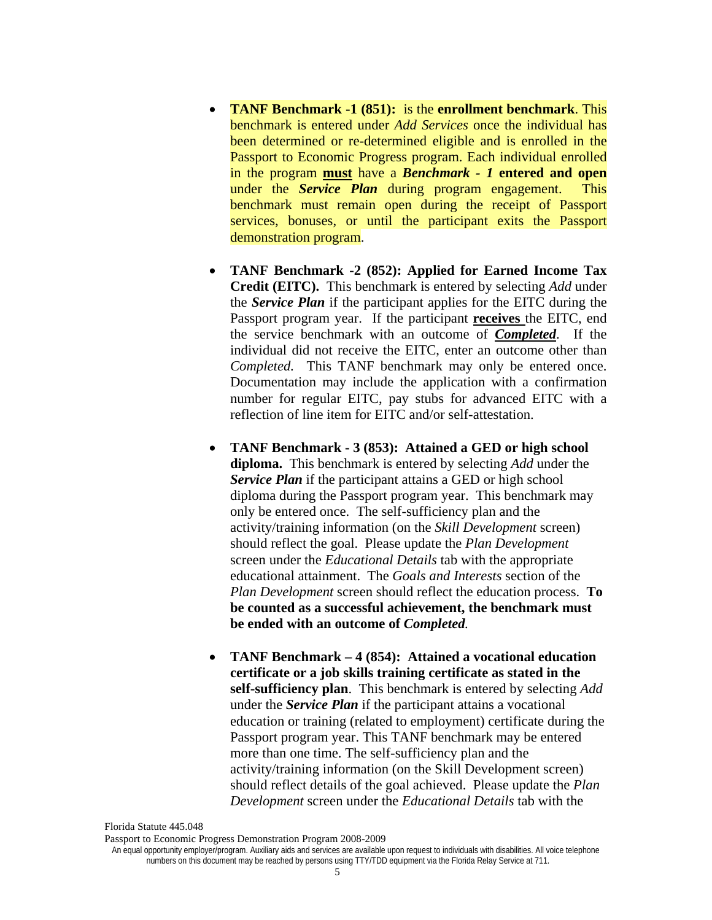- **TANF Benchmark -1 (851):** is the **enrollment benchmark**. This benchmark is entered under *Add Services* once the individual has been determined or re-determined eligible and is enrolled in the Passport to Economic Progress program. Each individual enrolled in the program **must** have a *Benchmark - 1* **entered and open** under the *Service Plan* during program engagement. This benchmark must remain open during the receipt of Passport services, bonuses, or until the participant exits the Passport demonstration program.
- **TANF Benchmark -2 (852): Applied for Earned Income Tax Credit (EITC).** This benchmark is entered by selecting *Add* under the *Service Plan* if the participant applies for the EITC during the Passport program year. If the participant **receives** the EITC, end the service benchmark with an outcome of *Completed*. If the individual did not receive the EITC, enter an outcome other than *Completed.* This TANF benchmark may only be entered once. Documentation may include the application with a confirmation number for regular EITC, pay stubs for advanced EITC with a reflection of line item for EITC and/or self-attestation.
- **TANF Benchmark 3 (853): Attained a GED or high school diploma.** This benchmark is entered by selecting *Add* under the *Service Plan* if the participant attains a GED or high school diploma during the Passport program year. This benchmark may only be entered once. The self-sufficiency plan and the activity/training information (on the *Skill Development* screen) should reflect the goal. Please update the *Plan Development* screen under the *Educational Details* tab with the appropriate educational attainment. The *Goals and Interests* section of the *Plan Development* screen should reflect the education process. **To be counted as a successful achievement, the benchmark must be ended with an outcome of** *Completed.*
- **TANF Benchmark 4 (854): Attained a vocational education certificate or a job skills training certificate as stated in the self-sufficiency plan**. This benchmark is entered by selecting *Add* under the *Service Plan* if the participant attains a vocational education or training (related to employment) certificate during the Passport program year. This TANF benchmark may be entered more than one time. The self-sufficiency plan and the activity/training information (on the Skill Development screen) should reflect details of the goal achieved. Please update the *Plan Development* screen under the *Educational Details* tab with the

Florida Statute 445.048

An equal opportunity employer/program. Auxiliary aids and services are available upon request to individuals with disabilities. All voice telephone numbers on this document may be reached by persons using TTY/TDD equipment via the Florida Relay Service at 711.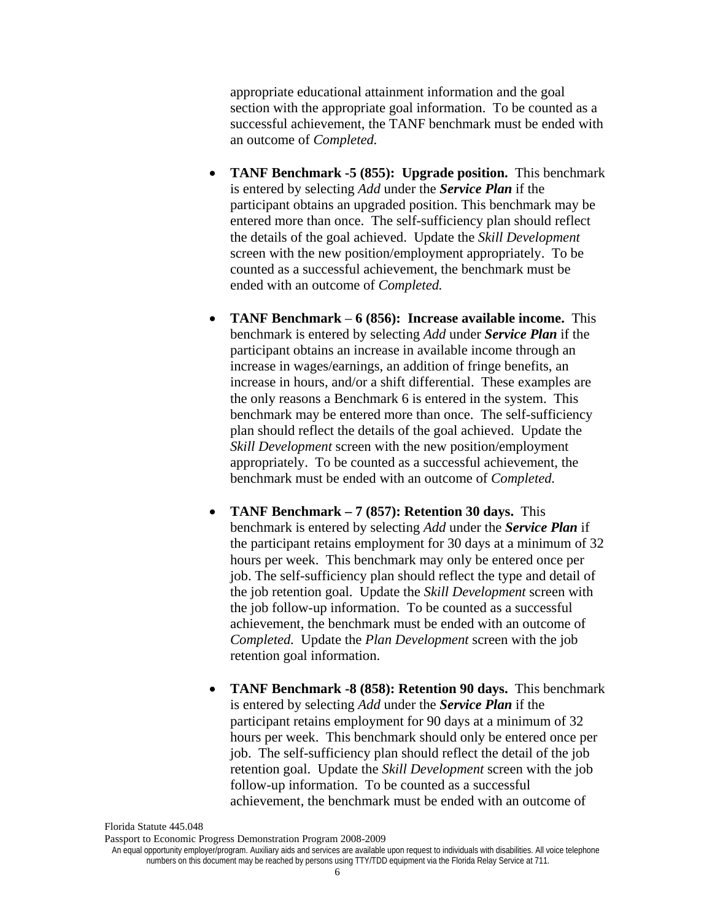appropriate educational attainment information and the goal section with the appropriate goal information. To be counted as a successful achievement, the TANF benchmark must be ended with an outcome of *Completed.*

- **TANF Benchmark -5 (855): Upgrade position.** This benchmark is entered by selecting *Add* under the *Service Plan* if the participant obtains an upgraded position. This benchmark may be entered more than once. The self-sufficiency plan should reflect the details of the goal achieved. Update the *Skill Development*  screen with the new position/employment appropriately. To be counted as a successful achievement, the benchmark must be ended with an outcome of *Completed.*
- **TANF Benchmark 6 (856): Increase available income.** This benchmark is entered by selecting *Add* under *Service Plan* if the participant obtains an increase in available income through an increase in wages/earnings, an addition of fringe benefits, an increase in hours, and/or a shift differential. These examples are the only reasons a Benchmark 6 is entered in the system. This benchmark may be entered more than once. The self-sufficiency plan should reflect the details of the goal achieved. Update the *Skill Development* screen with the new position/employment appropriately. To be counted as a successful achievement, the benchmark must be ended with an outcome of *Completed.*
- **TANF Benchmark 7 (857): Retention 30 days.** This benchmark is entered by selecting *Add* under the *Service Plan* if the participant retains employment for 30 days at a minimum of 32 hours per week. This benchmark may only be entered once per job. The self-sufficiency plan should reflect the type and detail of the job retention goal. Update the *Skill Development* screen with the job follow-up information. To be counted as a successful achievement, the benchmark must be ended with an outcome of *Completed.* Update the *Plan Development* screen with the job retention goal information.
- **TANF Benchmark -8 (858): Retention 90 days.** This benchmark is entered by selecting *Add* under the *Service Plan* if the participant retains employment for 90 days at a minimum of 32 hours per week. This benchmark should only be entered once per job. The self-sufficiency plan should reflect the detail of the job retention goal. Update the *Skill Development* screen with the job follow-up information. To be counted as a successful achievement, the benchmark must be ended with an outcome of

Florida Statute 445.048

Passport to Economic Progress Demonstration Program 2008-2009

An equal opportunity employer/program. Auxiliary aids and services are available upon request to individuals with disabilities. All voice telephone numbers on this document may be reached by persons using TTY/TDD equipment via the Florida Relay Service at 711.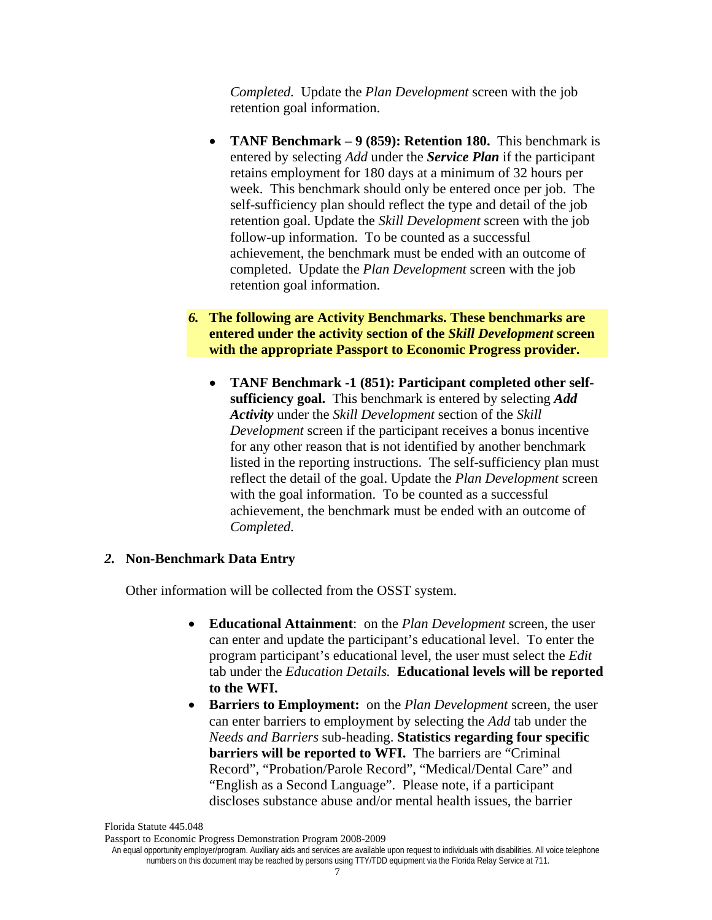*Completed.* Update the *Plan Development* screen with the job retention goal information.

- **TANF Benchmark 9 (859): Retention 180.** This benchmark is entered by selecting *Add* under the *Service Plan* if the participant retains employment for 180 days at a minimum of 32 hours per week. This benchmark should only be entered once per job. The self-sufficiency plan should reflect the type and detail of the job retention goal. Update the *Skill Development* screen with the job follow-up information. To be counted as a successful achievement, the benchmark must be ended with an outcome of completed. Update the *Plan Development* screen with the job retention goal information.
- *6.* **The following are Activity Benchmarks. These benchmarks are entered under the activity section of the** *Skill Development* **screen with the appropriate Passport to Economic Progress provider.** 
	- **TANF Benchmark -1 (851): Participant completed other selfsufficiency goal.** This benchmark is entered by selecting *Add Activity* under the *Skill Development* section of the *Skill Development* screen if the participant receives a bonus incentive for any other reason that is not identified by another benchmark listed in the reporting instructions. The self-sufficiency plan must reflect the detail of the goal. Update the *Plan Development* screen with the goal information. To be counted as a successful achievement, the benchmark must be ended with an outcome of *Completed.*

## *2.* **Non-Benchmark Data Entry**

Other information will be collected from the OSST system.

- **Educational Attainment**: on the *Plan Development* screen, the user can enter and update the participant's educational level. To enter the program participant's educational level, the user must select the *Edit*  tab under the *Education Details.* **Educational levels will be reported to the WFI.**
- **Barriers to Employment:** on the *Plan Development* screen, the user can enter barriers to employment by selecting the *Add* tab under the *Needs and Barriers* sub-heading. **Statistics regarding four specific barriers will be reported to WFI.** The barriers are "Criminal" Record", "Probation/Parole Record", "Medical/Dental Care" and "English as a Second Language". Please note, if a participant discloses substance abuse and/or mental health issues, the barrier

Florida Statute 445.048

An equal opportunity employer/program. Auxiliary aids and services are available upon request to individuals with disabilities. All voice telephone numbers on this document may be reached by persons using TTY/TDD equipment via the Florida Relay Service at 711.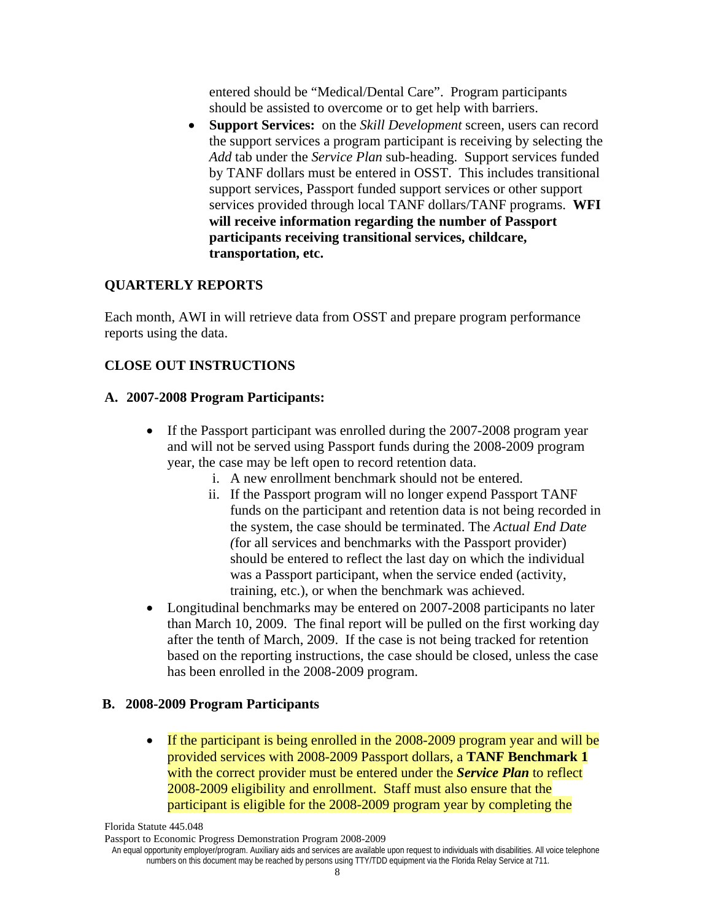entered should be "Medical/Dental Care". Program participants should be assisted to overcome or to get help with barriers.

• **Support Services:** on the *Skill Development* screen, users can record the support services a program participant is receiving by selecting the *Add* tab under the *Service Plan* sub-heading. Support services funded by TANF dollars must be entered in OSST. This includes transitional support services, Passport funded support services or other support services provided through local TANF dollars/TANF programs. **WFI will receive information regarding the number of Passport participants receiving transitional services, childcare, transportation, etc.** 

# **QUARTERLY REPORTS**

Each month, AWI in will retrieve data from OSST and prepare program performance reports using the data.

# **CLOSE OUT INSTRUCTIONS**

## **A. 2007-2008 Program Participants:**

- If the Passport participant was enrolled during the 2007-2008 program year and will not be served using Passport funds during the 2008-2009 program year, the case may be left open to record retention data.
	- i. A new enrollment benchmark should not be entered.
	- ii. If the Passport program will no longer expend Passport TANF funds on the participant and retention data is not being recorded in the system, the case should be terminated. The *Actual End Date (*for all services and benchmarks with the Passport provider) should be entered to reflect the last day on which the individual was a Passport participant, when the service ended (activity, training, etc.), or when the benchmark was achieved.
- Longitudinal benchmarks may be entered on 2007-2008 participants no later than March 10, 2009. The final report will be pulled on the first working day after the tenth of March, 2009. If the case is not being tracked for retention based on the reporting instructions, the case should be closed, unless the case has been enrolled in the 2008-2009 program.

## **B. 2008-2009 Program Participants**

• If the participant is being enrolled in the 2008-2009 program year and will be provided services with 2008-2009 Passport dollars, a **TANF Benchmark 1** with the correct provider must be entered under the *Service Plan* to reflect 2008-2009 eligibility and enrollment. Staff must also ensure that the participant is eligible for the 2008-2009 program year by completing the

Passport to Economic Progress Demonstration Program 2008-2009

An equal opportunity employer/program. Auxiliary aids and services are available upon request to individuals with disabilities. All voice telephone numbers on this document may be reached by persons using TTY/TDD equipment via the Florida Relay Service at 711.